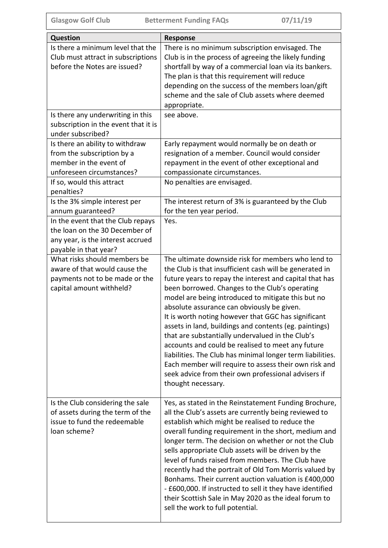| Question                                                                                                                          | <b>Response</b>                                                                                                                                                                                                                                                                                                                                                                                                                                                                                                                                                                                                                                                                                                                                              |  |
|-----------------------------------------------------------------------------------------------------------------------------------|--------------------------------------------------------------------------------------------------------------------------------------------------------------------------------------------------------------------------------------------------------------------------------------------------------------------------------------------------------------------------------------------------------------------------------------------------------------------------------------------------------------------------------------------------------------------------------------------------------------------------------------------------------------------------------------------------------------------------------------------------------------|--|
| Is there a minimum level that the<br>Club must attract in subscriptions<br>before the Notes are issued?                           | There is no minimum subscription envisaged. The<br>Club is in the process of agreeing the likely funding<br>shortfall by way of a commercial loan via its bankers.<br>The plan is that this requirement will reduce<br>depending on the success of the members loan/gift<br>scheme and the sale of Club assets where deemed<br>appropriate.                                                                                                                                                                                                                                                                                                                                                                                                                  |  |
| Is there any underwriting in this<br>subscription in the event that it is<br>under subscribed?                                    | see above.                                                                                                                                                                                                                                                                                                                                                                                                                                                                                                                                                                                                                                                                                                                                                   |  |
| Is there an ability to withdraw<br>from the subscription by a<br>member in the event of<br>unforeseen circumstances?              | Early repayment would normally be on death or<br>resignation of a member. Council would consider<br>repayment in the event of other exceptional and<br>compassionate circumstances.                                                                                                                                                                                                                                                                                                                                                                                                                                                                                                                                                                          |  |
| If so, would this attract<br>penalties?                                                                                           | No penalties are envisaged.                                                                                                                                                                                                                                                                                                                                                                                                                                                                                                                                                                                                                                                                                                                                  |  |
| Is the 3% simple interest per<br>annum guaranteed?                                                                                | The interest return of 3% is guaranteed by the Club<br>for the ten year period.                                                                                                                                                                                                                                                                                                                                                                                                                                                                                                                                                                                                                                                                              |  |
| In the event that the Club repays<br>the loan on the 30 December of<br>any year, is the interest accrued<br>payable in that year? | Yes.                                                                                                                                                                                                                                                                                                                                                                                                                                                                                                                                                                                                                                                                                                                                                         |  |
| What risks should members be<br>aware of that would cause the<br>payments not to be made or the<br>capital amount withheld?       | The ultimate downside risk for members who lend to<br>the Club is that insufficient cash will be generated in<br>future years to repay the interest and capital that has<br>been borrowed. Changes to the Club's operating<br>model are being introduced to mitigate this but no<br>absolute assurance can obviously be given.<br>It is worth noting however that GGC has significant<br>assets in land, buildings and contents (eg. paintings)<br>that are substantially undervalued in the Club's<br>accounts and could be realised to meet any future<br>liabilities. The Club has minimal longer term liabilities.<br>Each member will require to assess their own risk and<br>seek advice from their own professional advisers if<br>thought necessary. |  |
| Is the Club considering the sale<br>of assets during the term of the<br>issue to fund the redeemable<br>loan scheme?              | Yes, as stated in the Reinstatement Funding Brochure,<br>all the Club's assets are currently being reviewed to<br>establish which might be realised to reduce the<br>overall funding requirement in the short, medium and<br>longer term. The decision on whether or not the Club<br>sells appropriate Club assets will be driven by the<br>level of funds raised from members. The Club have<br>recently had the portrait of Old Tom Morris valued by<br>Bonhams. Their current auction valuation is £400,000<br>- £600,000. If instructed to sell it they have identified<br>their Scottish Sale in May 2020 as the ideal forum to<br>sell the work to full potential.                                                                                     |  |